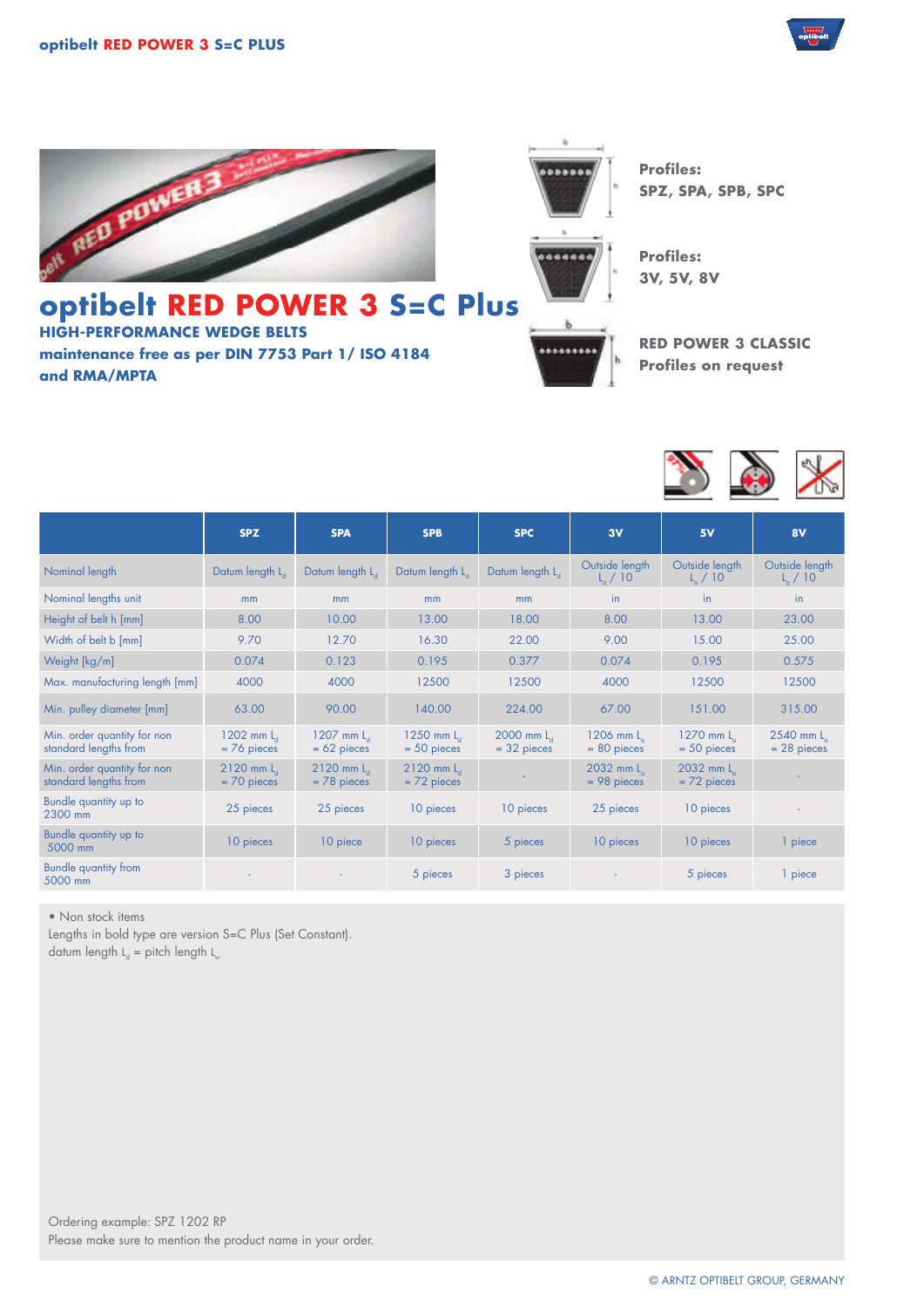





**Profiles: SPZ, SPA, SPB, SPC**

**Profiles: 3V, 5V, 8V**

## **optibelt RED POWER 3 S=C Plus HIGH-PERFORMANCE WEDGE BELTS**

**maintenance free as per DIN 7753 Part 1/ ISO 4184 and RMA/MPTA**



**RED POWER 3 CLASSIC Profiles on request**



|                                                      | <b>SPZ</b>                         | <b>SPA</b>                         | <b>SPB</b>                      | <b>SPC</b>                         | 3V                                  | 5V                             | 8V                                  |
|------------------------------------------------------|------------------------------------|------------------------------------|---------------------------------|------------------------------------|-------------------------------------|--------------------------------|-------------------------------------|
| Nominal length                                       | Datum length L <sub>4</sub>        | Datum length L <sub>4</sub>        | Datum length L                  | Datum length L <sub>4</sub>        | Outside length<br>$L_{\alpha}$ / 10 | Outside length<br>$L_{0}$ / 10 | Outside length<br>$L_{\alpha}$ / 10 |
| Nominal lengths unit                                 | mm                                 | mm                                 | mm                              | m <sub>m</sub>                     | in                                  | in.                            | <i>in</i>                           |
| Height of belt h [mm]                                | 8.00                               | 10.00                              | 13.00                           | 18.00                              | 8.00                                | 13.00                          | 23.00                               |
| Width of belt b [mm]                                 | 9.70                               | 12.70                              | 16.30                           | 22.00                              | 9.00                                | 15.00                          | 25.00                               |
| Weight [kg/m]                                        | 0.074                              | 0.123                              | 0.195                           | 0.377                              | 0.074                               | 0.195                          | 0.575                               |
| Max. manufacturing length [mm]                       | 4000                               | 4000                               | 12500                           | 12500                              | 4000                                | 12500                          | 12500                               |
| Min. pulley diameter [mm]                            | 63.00                              | 90.00                              | 140.00                          | 224.00                             | 67.00                               | 151.00                         | 315.00                              |
| Min. order quantity for non<br>standard lengths from | 1202 mm $La$<br>$= 76$ pieces      | $1207$ mm $La$<br>$= 62$ pieces    | $1250$ mm $La$<br>$= 50$ pieces | $2000$ mm $L_{d}$<br>$= 32$ pieces | 1206 mm L<br>$= 80$ pieces          | 1270 mm L<br>$= 50$ pieces     | 2540 mm L<br>$= 28$ pieces          |
| Min. order quantity for non<br>standard lengths from | $2120$ mm $L_{1}$<br>$= 70$ pieces | $2120$ mm $L_{1}$<br>$= 78$ pieces | $2120$ mm $La$<br>$= 72$ pieces |                                    | 2032 mm L<br>$= 98$ pieces          | 2032 mm L<br>$= 72$ pieces     |                                     |
| Bundle quantity up to<br>2300 mm                     | 25 pieces                          | 25 pieces                          | 10 pieces                       | 10 pieces                          | 25 pieces                           | 10 pieces                      |                                     |
| Bundle quantity up to<br>5000 mm                     | 10 pieces                          | 10 piece                           | 10 pieces                       | 5 pieces                           | 10 pieces                           | 10 pieces                      | 1 piece                             |
| <b>Bundle quantity from</b><br>5000 mm               |                                    |                                    | 5 pieces                        | 3 pieces                           |                                     | 5 pieces                       | 1 piece                             |

• Non stock items

Lengths in bold type are version S=C Plus (Set Constant). datum length  $L_d$  = pitch length  $L_w$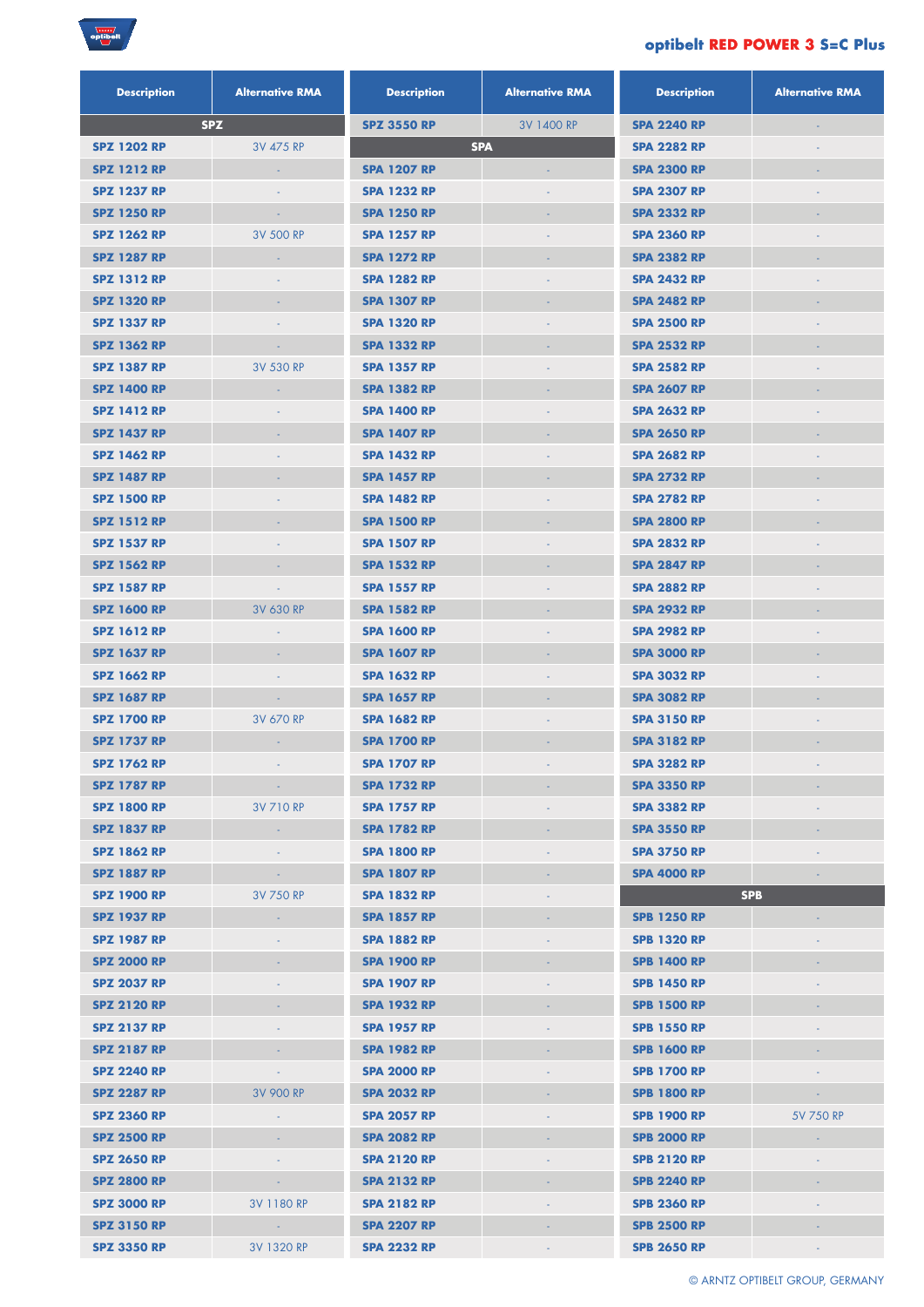

## **optibelt RED POWER 3 S=C Plus**

| <b>Description</b> | <b>Alternative RMA</b> | <b>Description</b> | <b>Alternative RMA</b>   | <b>Description</b> | <b>Alternative RMA</b> |
|--------------------|------------------------|--------------------|--------------------------|--------------------|------------------------|
|                    | <b>SPZ</b>             | <b>SPZ 3550 RP</b> | 3V 1400 RP               | <b>SPA 2240 RP</b> | ÷                      |
| <b>SPZ 1202 RP</b> | 3V 475 RP              |                    | <b>SPA</b>               | <b>SPA 2282 RP</b> |                        |
| <b>SPZ 1212 RP</b> | $\omega$               | <b>SPA 1207 RP</b> |                          | <b>SPA 2300 RP</b> |                        |
| <b>SPZ 1237 RP</b> |                        | <b>SPA 1232 RP</b> |                          | <b>SPA 2307 RP</b> |                        |
| <b>SPZ 1250 RP</b> | $\blacksquare$         | <b>SPA 1250 RP</b> |                          | <b>SPA 2332 RP</b> |                        |
| <b>SPZ 1262 RP</b> | 3V 500 RP              | <b>SPA 1257 RP</b> |                          | <b>SPA 2360 RP</b> |                        |
| <b>SPZ 1287 RP</b> | ÷                      | <b>SPA 1272 RP</b> |                          | <b>SPA 2382 RP</b> |                        |
| <b>SPZ 1312 RP</b> |                        | <b>SPA 1282 RP</b> |                          | <b>SPA 2432 RP</b> |                        |
| <b>SPZ 1320 RP</b> |                        | <b>SPA 1307 RP</b> |                          | <b>SPA 2482 RP</b> |                        |
| <b>SPZ 1337 RP</b> | ٠                      | <b>SPA 1320 RP</b> | $\blacksquare$           | <b>SPA 2500 RP</b> | ٠                      |
| <b>SPZ 1362 RP</b> | $\sim$                 | <b>SPA 1332 RP</b> | ÷                        | <b>SPA 2532 RP</b> |                        |
| <b>SPZ 1387 RP</b> | 3V 530 RP              | <b>SPA 1357 RP</b> |                          | <b>SPA 2582 RP</b> |                        |
| <b>SPZ 1400 RP</b> | ÷                      | <b>SPA 1382 RP</b> | $\overline{\phantom{a}}$ | <b>SPA 2607 RP</b> |                        |
| <b>SPZ 1412 RP</b> |                        | <b>SPA 1400 RP</b> |                          | <b>SPA 2632 RP</b> |                        |
| <b>SPZ 1437 RP</b> |                        | <b>SPA 1407 RP</b> | ÷,                       | <b>SPA 2650 RP</b> |                        |
| <b>SPZ 1462 RP</b> |                        | <b>SPA 1432 RP</b> |                          | <b>SPA 2682 RP</b> |                        |
| <b>SPZ 1487 RP</b> |                        | <b>SPA 1457 RP</b> |                          | <b>SPA 2732 RP</b> |                        |
| <b>SPZ 1500 RP</b> |                        | <b>SPA 1482 RP</b> |                          | <b>SPA 2782 RP</b> |                        |
| <b>SPZ 1512 RP</b> |                        | <b>SPA 1500 RP</b> |                          | <b>SPA 2800 RP</b> |                        |
| <b>SPZ 1537 RP</b> |                        | <b>SPA 1507 RP</b> |                          | <b>SPA 2832 RP</b> |                        |
| <b>SPZ 1562 RP</b> | $\blacksquare$         | <b>SPA 1532 RP</b> | $\blacksquare$           | <b>SPA 2847 RP</b> |                        |
| <b>SPZ 1587 RP</b> |                        | <b>SPA 1557 RP</b> |                          | <b>SPA 2882 RP</b> |                        |
| <b>SPZ 1600 RP</b> | 3V 630 RP              | <b>SPA 1582 RP</b> |                          | <b>SPA 2932 RP</b> |                        |
| <b>SPZ 1612 RP</b> | ٠                      | <b>SPA 1600 RP</b> |                          | <b>SPA 2982 RP</b> |                        |
| <b>SPZ 1637 RP</b> | $\blacksquare$         | <b>SPA 1607 RP</b> |                          | <b>SPA 3000 RP</b> |                        |
| <b>SPZ 1662 RP</b> |                        | <b>SPA 1632 RP</b> |                          | <b>SPA 3032 RP</b> |                        |
| <b>SPZ 1687 RP</b> |                        | <b>SPA 1657 RP</b> |                          | <b>SPA 3082 RP</b> |                        |
| <b>SPZ 1700 RP</b> | 3V 670 RP              | <b>SPA 1682 RP</b> |                          | <b>SPA 3150 RP</b> |                        |
| <b>SPZ 1737 RP</b> |                        | <b>SPA 1700 RP</b> |                          | <b>SPA 3182 RP</b> |                        |
| <b>SPZ 1762 RP</b> |                        | <b>SPA 1707 RP</b> |                          | <b>SPA 3282 RP</b> |                        |
| <b>SPZ 1787 RP</b> |                        | <b>SPA 1732 RP</b> |                          | <b>SPA 3350 RP</b> |                        |
| <b>SPZ 1800 RP</b> | 3V 710 RP              | <b>SPA 1757 RP</b> |                          | <b>SPA 3382 RP</b> |                        |
| <b>SPZ 1837 RP</b> | $\sim$                 | <b>SPA 1782 RP</b> |                          | <b>SPA 3550 RP</b> |                        |
| <b>SPZ 1862 RP</b> |                        | <b>SPA 1800 RP</b> |                          | <b>SPA 3750 RP</b> |                        |
| <b>SPZ 1887 RP</b> |                        | <b>SPA 1807 RP</b> |                          | <b>SPA 4000 RP</b> |                        |
| <b>SPZ 1900 RP</b> | 3V 750 RP              | <b>SPA 1832 RP</b> |                          |                    | <b>SPB</b>             |
| <b>SPZ 1937 RP</b> | $\sim$                 | <b>SPA 1857 RP</b> |                          | <b>SPB 1250 RP</b> |                        |
| <b>SPZ 1987 RP</b> |                        | <b>SPA 1882 RP</b> |                          | <b>SPB 1320 RP</b> |                        |
| <b>SPZ 2000 RP</b> |                        | <b>SPA 1900 RP</b> |                          | <b>SPB 1400 RP</b> |                        |
| <b>SPZ 2037 RP</b> |                        | <b>SPA 1907 RP</b> |                          | <b>SPB 1450 RP</b> |                        |
| <b>SPZ 2120 RP</b> |                        | <b>SPA 1932 RP</b> |                          | <b>SPB 1500 RP</b> |                        |
| <b>SPZ 2137 RP</b> |                        | <b>SPA 1957 RP</b> |                          | <b>SPB 1550 RP</b> |                        |
| <b>SPZ 2187 RP</b> |                        | <b>SPA 1982 RP</b> |                          | <b>SPB 1600 RP</b> |                        |
| <b>SPZ 2240 RP</b> | ×.                     | <b>SPA 2000 RP</b> |                          | <b>SPB 1700 RP</b> |                        |
| <b>SPZ 2287 RP</b> | 3V 900 RP              | <b>SPA 2032 RP</b> |                          | <b>SPB 1800 RP</b> |                        |
| <b>SPZ 2360 RP</b> | ٠                      | <b>SPA 2057 RP</b> |                          | <b>SPB 1900 RP</b> | 5V 750 RP              |
| <b>SPZ 2500 RP</b> |                        | <b>SPA 2082 RP</b> |                          | <b>SPB 2000 RP</b> | $\sim$                 |
| <b>SPZ 2650 RP</b> |                        | <b>SPA 2120 RP</b> |                          | <b>SPB 2120 RP</b> |                        |
| <b>SPZ 2800 RP</b> |                        | <b>SPA 2132 RP</b> |                          | <b>SPB 2240 RP</b> |                        |
| <b>SPZ 3000 RP</b> | 3V 1180 RP             | <b>SPA 2182 RP</b> |                          | <b>SPB 2360 RP</b> |                        |
| <b>SPZ 3150 RP</b> | <b>State</b>           | <b>SPA 2207 RP</b> |                          | <b>SPB 2500 RP</b> |                        |
| <b>SPZ 3350 RP</b> | 3V 1320 RP             | <b>SPA 2232 RP</b> |                          | <b>SPB 2650 RP</b> |                        |

© Arntz OPTIBELT Group, Germany